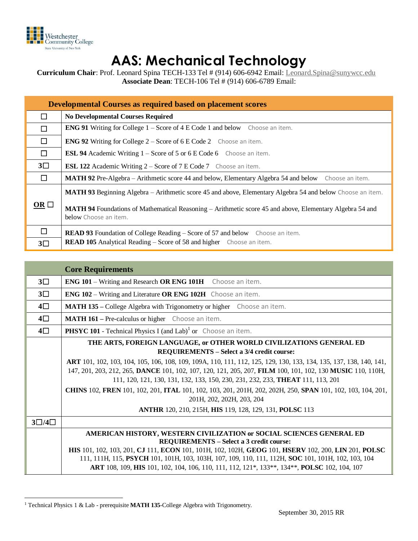

## **AAS: Mechanical Technology**

**Curriculum Chair**: Prof. Leonard Spina TECH-133 Tel # (914) 606-6942 Email: [Leonard.Spina@sunywcc.edu](mailto:Leonard.Spina@sunywcc.edu) **Associate Dean**: TECH-106 Tel # (914) 606-6789 Email:

| Developmental Courses as required based on placement scores |                                                                                                                                                                     |  |  |  |  |  |
|-------------------------------------------------------------|---------------------------------------------------------------------------------------------------------------------------------------------------------------------|--|--|--|--|--|
|                                                             | <b>No Developmental Courses Required</b>                                                                                                                            |  |  |  |  |  |
| П                                                           | <b>ENG 91</b> Writing for College 1 – Score of 4 E Code 1 and below Choose an item.                                                                                 |  |  |  |  |  |
| $\Box$                                                      | <b>ENG 92</b> Writing for College $2 -$ Score of 6 E Code 2 Choose an item.                                                                                         |  |  |  |  |  |
| □                                                           | <b>ESL 94</b> Academic Writing 1 – Score of 5 or 6 E Code 6 Choose an item.                                                                                         |  |  |  |  |  |
| $3\square$                                                  | <b>ESL 122</b> Academic Writing $2 -$ Score of $7E$ Code $7$ Choose an item.                                                                                        |  |  |  |  |  |
| П                                                           | MATH 92 Pre-Algebra – Arithmetic score 44 and below, Elementary Algebra 54 and below Choose an item.                                                                |  |  |  |  |  |
|                                                             | MATH 93 Beginning Algebra – Arithmetic score 45 and above, Elementary Algebra 54 and below Choose an item.                                                          |  |  |  |  |  |
| OR $\Box$                                                   | <b>MATH 94</b> Foundations of Mathematical Reasoning – Arithmetic score 45 and above, Elementary Algebra 54 and<br>below Choose an item.                            |  |  |  |  |  |
| $\Box$<br>$3\square$                                        | <b>READ 93</b> Foundation of College Reading – Score of 57 and below Choose an item.<br><b>READ 105</b> Analytical Reading – Score of 58 and higher Choose an item. |  |  |  |  |  |

|                     | <b>Core Requirements</b>                                                                                                                 |  |  |  |  |  |  |  |
|---------------------|------------------------------------------------------------------------------------------------------------------------------------------|--|--|--|--|--|--|--|
| $3\square$          | <b>ENG 101 - Writing and Research OR ENG 101H</b> Choose an item.                                                                        |  |  |  |  |  |  |  |
| $3\square$          | <b>ENG 102 – Writing and Literature OR ENG 102H</b> Choose an item.                                                                      |  |  |  |  |  |  |  |
| $4\square$          | <b>MATH 135</b> – College Algebra with Trigonometry or higher Choose an item.                                                            |  |  |  |  |  |  |  |
| $4\square$          | <b>MATH 161 - Pre-calculus or higher</b> Choose an item.                                                                                 |  |  |  |  |  |  |  |
| $4\square$          | <b>PHSYC 101</b> - Technical Physics I (and Lab) <sup>1</sup> or Choose an item.                                                         |  |  |  |  |  |  |  |
|                     | THE ARTS, FOREIGN LANGUAGE, or OTHER WORLD CIVILIZATIONS GENERAL ED                                                                      |  |  |  |  |  |  |  |
|                     | REQUIREMENTS - Select a 3/4 credit course:                                                                                               |  |  |  |  |  |  |  |
|                     | <b>ART</b> 101, 102, 103, 104, 105, 106, 108, 109, 109A, 110, 111, 112, 125, 129, 130, 133, 134, 135, 137, 138, 140, 141,                |  |  |  |  |  |  |  |
|                     | 147, 201, 203, 212, 265, DANCE 101, 102, 107, 120, 121, 205, 207, FILM 100, 101, 102, 130 MUSIC 110, 110H,                               |  |  |  |  |  |  |  |
|                     | 111, 120, 121, 130, 131, 132, 133, 150, 230, 231, 232, 233, <b>THEAT</b> 111, 113, 201                                                   |  |  |  |  |  |  |  |
|                     | CHINS 102, FREN 101, 102, 201, ITAL 101, 102, 103, 201, 201H, 202, 202H, 250, SPAN 101, 102, 103, 104, 201,<br>201H, 202, 202H, 203, 204 |  |  |  |  |  |  |  |
|                     | ANTHR 120, 210, 215H, HIS 119, 128, 129, 131, POLSC 113                                                                                  |  |  |  |  |  |  |  |
| $3\square/4\square$ |                                                                                                                                          |  |  |  |  |  |  |  |
|                     | AMERICAN HISTORY, WESTERN CIVILIZATION or SOCIAL SCIENCES GENERAL ED<br><b>REQUIREMENTS - Select a 3 credit course:</b>                  |  |  |  |  |  |  |  |
|                     | HIS 101, 102, 103, 201, CJ 111, ECON 101, 101H, 102, 102H, GEOG 101, HSERV 102, 200, LIN 201, POLSC                                      |  |  |  |  |  |  |  |
|                     | 111, 111H, 115, PSYCH 101, 101H, 103, 103H, 107, 109, 110, 111, 112H, SOC 101, 101H, 102, 103, 104                                       |  |  |  |  |  |  |  |
|                     | ART 108, 109, HIS 101, 102, 104, 106, 110, 111, 112, 121*, 133**, 134**, POLSC 102, 104, 107                                             |  |  |  |  |  |  |  |

 $\overline{a}$ <sup>1</sup> Technical Physics 1 & Lab - prerequisite **MATH 135**-College Algebra with Trigonometry.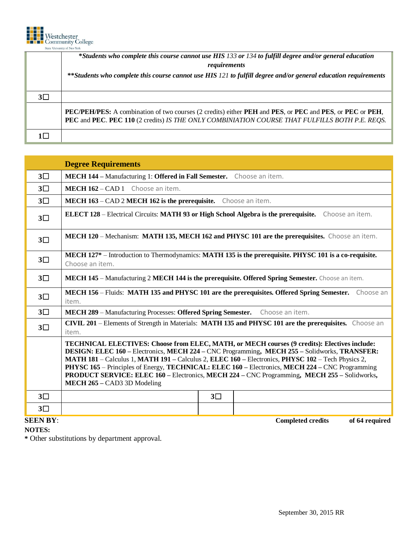

|            | *Students who complete this course cannot use HIS 133 or 134 to fulfill degree and/or general education<br>requirements                                                                                                                                        |  |  |  |  |  |  |  |
|------------|----------------------------------------------------------------------------------------------------------------------------------------------------------------------------------------------------------------------------------------------------------------|--|--|--|--|--|--|--|
|            |                                                                                                                                                                                                                                                                |  |  |  |  |  |  |  |
|            | **Students who complete this course cannot use HIS 121 to fulfill degree and/or general education requirements                                                                                                                                                 |  |  |  |  |  |  |  |
|            |                                                                                                                                                                                                                                                                |  |  |  |  |  |  |  |
| $3\square$ |                                                                                                                                                                                                                                                                |  |  |  |  |  |  |  |
|            | <b>PEC/PEH/PES:</b> A combination of two courses (2 credits) either <b>PEH</b> and <b>PES</b> , or <b>PEC</b> and <b>PES</b> , or <b>PEC</b> or <b>PEH</b> ,<br>PEC and PEC. PEC 110 (2 credits) IS THE ONLY COMBINIATION COURSE THAT FULFILLS BOTH P.E. REQS. |  |  |  |  |  |  |  |
|            |                                                                                                                                                                                                                                                                |  |  |  |  |  |  |  |

|                 | <b>Degree Requirements</b>                                                                                                                                                                                                                                                                                                                                                                                                                                                                                                                |  |  |  |  |  |  |
|-----------------|-------------------------------------------------------------------------------------------------------------------------------------------------------------------------------------------------------------------------------------------------------------------------------------------------------------------------------------------------------------------------------------------------------------------------------------------------------------------------------------------------------------------------------------------|--|--|--|--|--|--|
| $3\square$      | MECH 144 - Manufacturing 1: Offered in Fall Semester. Choose an item.                                                                                                                                                                                                                                                                                                                                                                                                                                                                     |  |  |  |  |  |  |
| $3\square$      | MECH 162 - CAD 1 Choose an item.                                                                                                                                                                                                                                                                                                                                                                                                                                                                                                          |  |  |  |  |  |  |
| $3\square$      | MECH 163 - CAD 2 MECH 162 is the prerequisite. Choose an item.                                                                                                                                                                                                                                                                                                                                                                                                                                                                            |  |  |  |  |  |  |
| $3\square$      | <b>ELECT 128</b> – Electrical Circuits: MATH 93 or High School Algebra is the prerequisite. Choose an item.                                                                                                                                                                                                                                                                                                                                                                                                                               |  |  |  |  |  |  |
| $3\square$      | MECH 120 – Mechanism: MATH 135, MECH 162 and PHYSC 101 are the prerequisites. Choose an item.                                                                                                                                                                                                                                                                                                                                                                                                                                             |  |  |  |  |  |  |
| $3\square$      | MECH 127 <sup>*</sup> – Introduction to Thermodynamics: MATH 135 is the prerequisite. PHYSC 101 is a co-requisite.<br>Choose an item.                                                                                                                                                                                                                                                                                                                                                                                                     |  |  |  |  |  |  |
| $3\square$      | MECH 145 - Manufacturing 2 MECH 144 is the prerequisite. Offered Spring Semester. Choose an item.                                                                                                                                                                                                                                                                                                                                                                                                                                         |  |  |  |  |  |  |
| $3\square$      | MECH 156 - Fluids: MATH 135 and PHYSC 101 are the prerequisites. Offered Spring Semester. Choose an<br>item.                                                                                                                                                                                                                                                                                                                                                                                                                              |  |  |  |  |  |  |
| $3\square$      | MECH 289 - Manufacturing Processes: Offered Spring Semester.<br>Choose an item.                                                                                                                                                                                                                                                                                                                                                                                                                                                           |  |  |  |  |  |  |
| $3\square$      | <b>CIVIL 201</b> – Elements of Strength in Materials: MATH 135 and PHYSC 101 are the prerequisites. Choose an<br>item.                                                                                                                                                                                                                                                                                                                                                                                                                    |  |  |  |  |  |  |
|                 | TECHNICAL ELECTIVES: Choose from ELEC, MATH, or MECH courses (9 credits): Electives include:<br>DESIGN: ELEC 160 – Electronics, MECH 224 – CNC Programming, MECH 255 – Solidworks, TRANSFER:<br>MATH 181 – Calculus 1, MATH 191 – Calculus 2, ELEC 160 – Electronics, PHYSC 102 – Tech Physics 2,<br>PHYSC 165 – Principles of Energy, TECHNICAL: ELEC 160 – Electronics, MECH 224 – CNC Programming<br><b>PRODUCT SERVICE: ELEC 160 – Electronics, MECH 224 – CNC Programming, MECH 255 – Solidworks,</b><br>MECH 265 – CAD3 3D Modeling |  |  |  |  |  |  |
| $3\square$      | $3\square$                                                                                                                                                                                                                                                                                                                                                                                                                                                                                                                                |  |  |  |  |  |  |
| $3\square$      |                                                                                                                                                                                                                                                                                                                                                                                                                                                                                                                                           |  |  |  |  |  |  |
| <b>SEEN BY:</b> | <b>Completed credits</b><br>of 64 required                                                                                                                                                                                                                                                                                                                                                                                                                                                                                                |  |  |  |  |  |  |

**NOTES:**

**\*** Other substitutions by department approval.